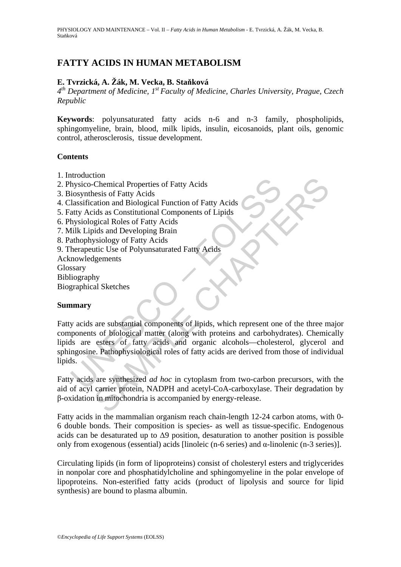# **FATTY ACIDS IN HUMAN METABOLISM**

## **E. Tvrzická, A. Žák, M. Vecka, B. Staňková**

*4th Department of Medicine, 1st Faculty of Medicine, Charles University, Prague, Czech Republic* 

**Keywords**: polyunsaturated fatty acids n-6 and n-3 family, phospholipids, sphingomyeline, brain, blood, milk lipids, insulin, eicosanoids, plant oils, genomic control, atherosclerosis, tissue development.

### **Contents**

- 1. Introduction
- 2. Physico-Chemical Properties of Fatty Acids
- 3. Biosynthesis of Fatty Acids
- 4. Classification and Biological Function of Fatty Acids
- 5. Fatty Acids as Constitutional Components of Lipids
- 6. Physiological Roles of Fatty Acids
- 7. Milk Lipids and Developing Brain
- 8. Pathophysiology of Fatty Acids
- 9. Therapeutic Use of Polyunsaturated Fatty Acids
- Acknowledgements
- **Glossary**
- Bibliography

Biographical Sketches

## **Summary**

invalues<br>
in the single of Fatty Acids<br>
in the single of Fatty Acids<br>
in the sister of Fatty Acids<br>
Ilassification and Biological Function of Fatty Acids<br>
Ilassification and Biological Roles of Fatty Acids<br>
filik Lipids an Chemical Properties of Fatty Acids<br>
Chemical Properties of Fatty Acids<br>
resis of Fatty Acids<br>
resis of Fatty Acids<br>
resis of Fatty Acids<br>
resis as Constitutional Components of Lipids<br>
sigical Roles of Fatty Acids<br>
resistin Fatty acids are substantial components of lipids, which represent one of the three major components of biological matter (along with proteins and carbohydrates). Chemically lipids are esters of fatty acids and organic alcohols—cholesterol, glycerol and sphingosine. Pathophysiological roles of fatty acids are derived from those of individual lipids.

Fatty acids are synthesized *ad hoc* in cytoplasm from two-carbon precursors, with the aid of acyl carrier protein, NADPH and acetyl-CoA-carboxylase. Their degradation by β-oxidation in mitochondria is accompanied by energy-release.

Fatty acids in the mammalian organism reach chain-length 12-24 carbon atoms, with 0- 6 double bonds. Their composition is species- as well as tissue-specific. Endogenous acids can be desaturated up to  $\Delta$ 9 position, desaturation to another position is possible only from exogenous (essential) acids [linoleic (n-6 series) and  $\alpha$ -linolenic (n-3 series)].

Circulating lipids (in form of lipoproteins) consist of cholesteryl esters and triglycerides in nonpolar core and phosphatidylcholine and sphingomyeline in the polar envelope of lipoproteins. Non-esterified fatty acids (product of lipolysis and source for lipid synthesis) are bound to plasma albumin.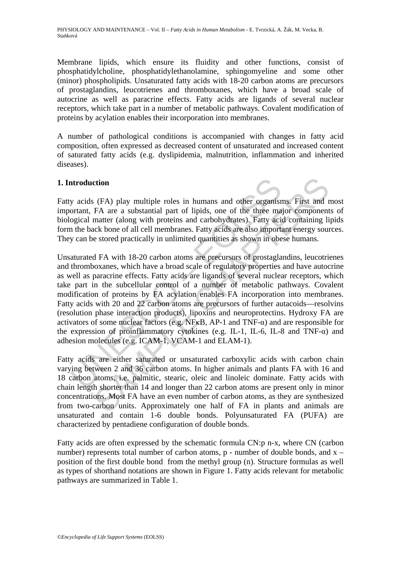Membrane lipids, which ensure its fluidity and other functions, consist of phosphatidylcholine, phosphatidylethanolamine, sphingomyeline and some other (minor) phospholipids. Unsaturated fatty acids with 18-20 carbon atoms are precursors of prostaglandins, leucotrienes and thromboxanes, which have a broad scale of autocrine as well as paracrine effects. Fatty acids are ligands of several nuclear receptors, which take part in a number of metabolic pathways. Covalent modification of proteins by acylation enables their incorporation into membranes.

A number of pathological conditions is accompanied with changes in fatty acid composition, often expressed as decreased content of unsaturated and increased content of saturated fatty acids (e.g. dyslipidemia, malnutrition, inflammation and inherited diseases).

# **1. Introduction**

Fatty acids (FA) play multiple roles in humans and other organisms. First and most important, FA are a substantial part of lipids, one of the three major components of biological matter (along with proteins and carbohydrates). Fatty acid containing lipids form the back bone of all cell membranes. Fatty acids are also important energy sources. They can be stored practically in unlimited quantities as shown in obese humans.

artroduction<br>y acids (FA) play multiple roles in humans and other organistor<br>organizal matter (along with proteins and carbohydrates). Fatty acid<br>organizal matter (along with proteins and carbohydrates). Fatty acid<br>n the ction<br>
(FA) play multiple roles in humans and other organisms. First and FA are a substantial part of lipids, one of the three major component<br>
matter (along with proteins and carbohydrates). Fatty acid containing li<br>
ack Unsaturated FA with 18-20 carbon atoms are precursors of prostaglandins, leucotrienes and thromboxanes, which have a broad scale of regulatory properties and have autocrine as well as paracrine effects. Fatty acids are ligands of several nuclear receptors, which take part in the subcellular control of a number of metabolic pathways. Covalent modification of proteins by FA acylation enables FA incorporation into membranes. Fatty acids with 20 and 22 carbon atoms are precursors of further autacoids—resolvins (resolution phase interaction products), lipoxins and neuroprotectins. Hydroxy FA are activators of some nuclear factors (e.g. NFκB, AP-1 and TNF-α) and are responsible for the expression of proinflammatory cytokines (e.g. IL-1, IL-6, IL-8 and TNF- $\alpha$ ) and adhesion molecules (e.g. ICAM-1, VCAM-1 and ELAM-1).

Fatty acids are either saturated or unsaturated carboxylic acids with carbon chain varying between 2 and 36 carbon atoms. In higher animals and plants FA with 16 and 18 carbon atoms, i.e. palmitic, stearic, oleic and linoleic dominate. Fatty acids with chain length shorter than 14 and longer than 22 carbon atoms are present only in minor concentrations. Most FA have an even number of carbon atoms, as they are synthesized from two-carbon units. Approximately one half of FA in plants and animals are unsaturated and contain 1-6 double bonds. Polyunsaturated FA (PUFA) are characterized by pentadiene configuration of double bonds.

Fatty acids are often expressed by the schematic formula CN:p n-x, where CN (carbon number) represents total number of carbon atoms, p - number of double bonds, and x – position of the first double bond from the methyl group (n). Structure formulas as well as types of shorthand notations are shown in Figure 1. Fatty acids relevant for metabolic pathways are summarized in Table 1.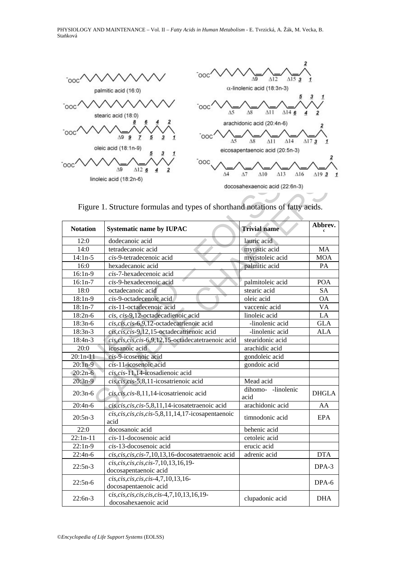

Figure 1. Structure formulas and types of shorthand notations of fatty acids.

|                                                                               | linoleic acid (18:2n-6)                                                  | docosahexaenoic acid (22:6n-3) |              |  |
|-------------------------------------------------------------------------------|--------------------------------------------------------------------------|--------------------------------|--------------|--|
| Figure 1. Structure formulas and types of shorthand notations of fatty acids. |                                                                          |                                |              |  |
| <b>Notation</b>                                                               | <b>Systematic name by IUPAC</b>                                          | <b>Trivial name</b>            | Abbrev.      |  |
| 12:0                                                                          | dodecanoic acid                                                          | lauric acid                    |              |  |
| 14:0                                                                          | tetradecanoic acid                                                       | myristic acid                  | MA           |  |
| $14:1n-5$                                                                     | cis-9-tetradecenoic acid                                                 | myristoleic acid               | <b>MOA</b>   |  |
| 16:0                                                                          | hexadecanoic acid                                                        | palmitic acid                  | PA           |  |
| $16:1n-9$                                                                     | cis-7-hexadecenoic acid                                                  |                                |              |  |
| $16:1n-7$                                                                     | cis-9-hexadecenoic acid                                                  | palmitoleic acid               | <b>POA</b>   |  |
| 18:0                                                                          | octadecanoic acid                                                        | stearic acid                   | <b>SA</b>    |  |
| $18:1n-9$                                                                     | cis-9-octadecenoic acid                                                  | oleic acid                     | <b>OA</b>    |  |
| $18:1n-7$                                                                     | cis-11-octadecenoic acid                                                 | vaccenic acid                  | <b>VA</b>    |  |
| $18:2n-6$                                                                     | cis, cis-9,12-octadecadienoic acid                                       | linoleic acid                  | LA           |  |
| $18:3n-6$                                                                     | cis, cis, cis-6,9,12-octadecatrienoic acid                               | -linolenic acid                | <b>GLA</b>   |  |
| $18:3n-3$                                                                     | cis, cis, cis-9,12,15-octadecatrienoic acid                              | -linolenic acid                | <b>ALA</b>   |  |
| 18:4n-3                                                                       | cis, cis, cis, cis-6,9,12,15-octadecatetraenoic acid                     | stearidonic acid               |              |  |
| 20:0                                                                          | icosanoic acid                                                           | arachidic acid                 |              |  |
| $20:1n-11$                                                                    | cis-9-icosenoic acid                                                     | gondoleic acid                 |              |  |
| $20:1n-9$                                                                     | cis-11-icosenoic acid                                                    | gondoic acid                   |              |  |
| $20:2n-6$                                                                     | cis, cis-11,14-icosadienoic acid                                         |                                |              |  |
| $20:3n-9$                                                                     | cis, cis, cis-5,8,11-icosatrienoic acid                                  | Mead acid                      |              |  |
| $20:3n-6$                                                                     | cis, cis, cis-8,11,14-icosatrienoic acid                                 | dihomo--linolenic<br>acid      | <b>DHGLA</b> |  |
| $20:4n-6$                                                                     | cis, cis, cis, cis-5,8,11,14-icosatetraenoic acid                        | arachidonic acid               | AA           |  |
| $20:5n-3$                                                                     | $cis, cis, cis, cis, cis, cis$ -5,8,11,14,17- $icosa$ pentaenoic<br>acid | timnodonic acid                | EPA          |  |
| 22:0                                                                          | docosanoic acid                                                          | behenic acid                   |              |  |
| $22:1n-11$                                                                    | cis-11-docosenoic acid                                                   | cetoleic acid                  |              |  |
| $22:1n-9$                                                                     | cis-13-docosenoic acid                                                   | erucic acid                    |              |  |
| $22:4n-6$                                                                     | cis, cis, cis, cis-7, 10, 13, 16-docosate traenoic acid                  | adrenic acid                   | <b>DTA</b>   |  |
| $22:5n-3$                                                                     | $cis, cis, cis, cis, cis$ -7,10,13,16,19-<br>docosapentaenoic acid       |                                | DPA-3        |  |
| $22:5n-6$                                                                     | $cis, cis, cis, cis, cis - 4, 7, 10, 13, 16$<br>docosapentaenoic acid    |                                | DPA-6        |  |
| $22:6n-3$                                                                     | cis, cis, cis, cis, cis-4, 7, 10, 13, 16, 19-<br>docosahexaenoic acid    | clupadonic acid                | <b>DHA</b>   |  |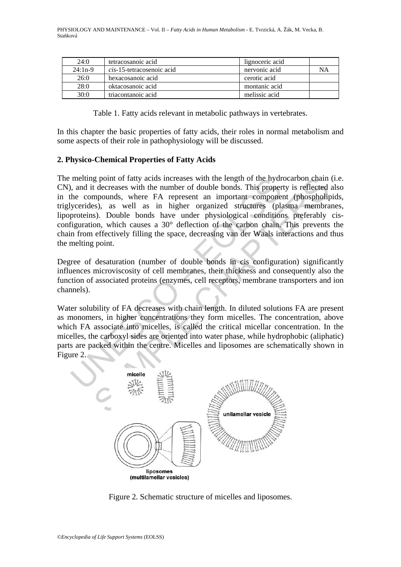| 24:0      | tetracosanoic acid                | lignoceric acid |    |
|-----------|-----------------------------------|-----------------|----|
| $24:1n-9$ | <i>cis</i> -15-tetracosenoic acid | nervonic acid   | NΑ |
| 26:0      | hexacosanoic acid                 | cerotic acid    |    |
| 28:0      | oktacosanoic acid                 | montanic acid   |    |
| 30:0      | triacontanoic acid                | melissic acid   |    |

Table 1. Fatty acids relevant in metabolic pathways in vertebrates.

In this chapter the basic properties of fatty acids, their roles in normal metabolism and some aspects of their role in pathophysiology will be discussed.

### **2. Physico-Chemical Properties of Fatty Acids**

melting point of tatty acids increases with the length of the hydremation and it decreases with the number of double bonds. This properties, as well as in higher organized structures (planetic sphere is a second of the ca g point of fatty acids increases with the length of the hydrocarbon chain<br>t decreases with the length of the hydrocarbon chain<br>t decreases with the number of double bonds. This property is reflected<br>sp.), as well as in hig The melting point of fatty acids increases with the length of the hydrocarbon chain (i.e. CN), and it decreases with the number of double bonds. This property is reflected also in the compounds, where FA represent an important component (phospholipids, triglycerides), as well as in higher organized structures (plasma membranes, lipoproteins). Double bonds have under physiological conditions preferably cisconfiguration, which causes a 30° deflection of the carbon chain. This prevents the chain from effectively filling the space, decreasing van der Waals interactions and thus the melting point.

Degree of desaturation (number of double bonds in cis configuration) significantly influences microviscosity of cell membranes, their thickness and consequently also the function of associated proteins (enzymes, cell receptors, membrane transporters and ion channels).

Water solubility of FA decreases with chain length. In diluted solutions FA are present as monomers, in higher concentrations they form micelles. The concentration, above which FA associate into micelles, is called the critical micellar concentration. In the micelles, the carboxyl sides are oriented into water phase, while hydrophobic (aliphatic) parts are packed within the centre. Micelles and liposomes are schematically shown in Figure 2.



Figure 2. Schematic structure of micelles and liposomes.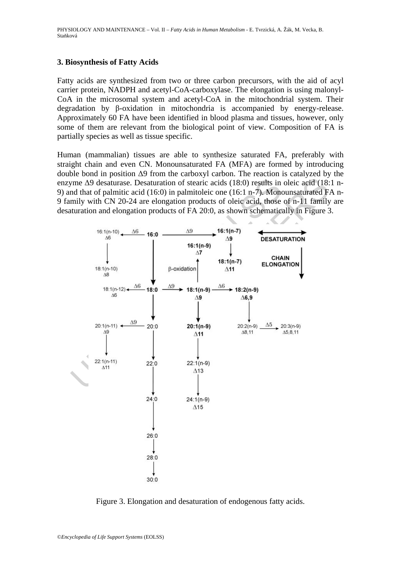### **3. Biosynthesis of Fatty Acids**

Fatty acids are synthesized from two or three carbon precursors, with the aid of acyl carrier protein, NADPH and acetyl-CoA-carboxylase. The elongation is using malonyl-CoA in the microsomal system and acetyl-CoA in the mitochondrial system. Their degradation by β-oxidation in mitochondria is accompanied by energy-release. Approximately 60 FA have been identified in blood plasma and tissues, however, only some of them are relevant from the biological point of view. Composition of FA is partially species as well as tissue specific.

Human (mammalian) tissues are able to synthesize saturated FA, preferably with straight chain and even CN. Monounsaturated FA (MFA) are formed by introducing double bond in position Δ9 from the carboxyl carbon. The reaction is catalyzed by the enzyme Δ9 desaturase. Desaturation of stearic acids (18:0) results in oleic acid (18:1 n-9) and that of palmitic acid (16:0) in palmitoleic one (16:1 n-7). Monounsaturated FA n-9 family with CN 20-24 are elongation products of oleic acid, those of n-11 family are desaturation and elongation products of FA 20:0, as shown schematically in Figure 3.



Figure 3. Elongation and desaturation of endogenous fatty acids.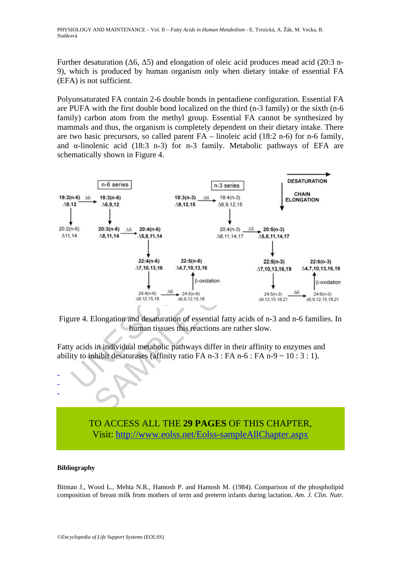Further desaturation (Δ6, Δ5) and elongation of oleic acid produces mead acid (20:3 n-9), which is produced by human organism only when dietary intake of essential FA (EFA) is not sufficient.

Polyunsaturated FA contain 2-6 double bonds in pentadiene configuration. Essential FA are PUFA with the first double bond localized on the third (n-3 family) or the sixth (n-6 family) carbon atom from the methyl group. Essential FA cannot be synthesized by mammals and thus, the organism is completely dependent on their dietary intake. There are two basic precursors, so called parent FA – linoleic acid (18:2 n-6) for n-6 family, and  $\alpha$ -linolenic acid (18:3 n-3) for n-3 family. Metabolic pathways of EFA are schematically shown in Figure 4.



Figure 4. Elongation and desaturation of essential fatty acids of n-3 and n-6 families. In human tissues this reactions are rather slow.

Fatty acids in individual metabolic pathways differ in their affinity to enzymes and ability to inhibit desaturases (affinity ratio FA n-3 : FA n-6 : FA n-9  $\sim$  10 : 3 : 1).

# TO ACCESS ALL THE **29 PAGES** OF THIS CHAPTER, Visit[: http://www.eolss.net/Eolss-sampleAllChapter.aspx](https://www.eolss.net/ebooklib/sc_cart.aspx?File=E6-54-03-05)

#### **Bibliography**

- - -

Bitman J., Wood L., Mehta N.R., Hamosh P. and Hamosh M. (1984). Comparison of the phospholipid composition of breast milk from mothers of term and preterm infants during lactation. *Am. J. Clin. Nutr.*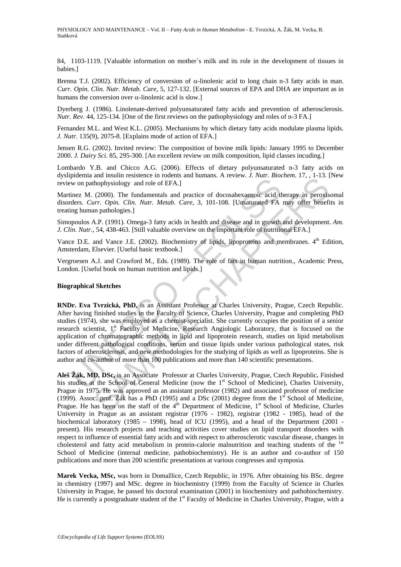84, 1103-1119. [Valuable information on mother´s milk and its role in the development of tissues in babies.]

Brenna T.J. (2002). Efficiency of conversion of α-linolenic acid to long chain n-3 fatty acids in man. *Curr. Opin. Clin. Nutr. Metab. Care*, 5, 127-132. [External sources of EPA and DHA are important as in humans the conversion over  $\alpha$ -linolenic acid is slow.]

Dyerberg J. (1986). Linolenate-derived polyunsaturated fatty acids and prevention of atherosclerosis. *Nutr. Rev.* 44, 125-134. [One of the first reviews on the pathophysiology and roles of n-3 FA.]

Fernandez M.L. and West K.L. (2005). Mechanisms by which dietary fatty acids modulate plasma lipids. *J. Nutr.* 135(9), 2075-8. [Explains mode of action of EFA.]

Jensen R.G. (2002). Invited review: The composition of bovine milk lipids: January 1995 to December 2000. *J. Dairy Sci.* 85, 295-300. [An excellent review on milk composition, lipid classes incuding.]

Lombardo Y.B. and Chicco A.G. (2006). Effects of dietary polyunsaturated n-3 fatty acids on dyslipidemia and insulin resistence in rodents and humans. A review. *J. Nutr. Biochem.* 17, , 1-13. [New review on pathophysiology and role of EFA.]

Martinez M. (2000). The fundamentals and practice of docosahexaenoic acid therapy in peroxisomal disorders. *Curr. Opin. Clin. Nutr. Metab. Care*, 3, 101-108. [Unsaturated FA may offer benefits in treating human pathologies.]

Simopoulos A.P. (1991). Omega-3 fatty acids in health and disease and in growth and development. *Am. J. Clin. Nutr.*, 54, 438-463. [Still valuable overview on the important role of nutritional EFA.]

Vance D.E. and Vance J.E. (2002). Biochemistry of lipids, lipoproteins and membranes. 4<sup>th</sup> Edition, Amsterdam, Elsevier. [Useful basic textbook.]

Vergroesen A.J. and Crawford M., Eds. (1989). The role of fats in human nutrition., Academic Press, London. [Useful book on human nutrition and lipids.]

#### **Biographical Sketches**

presentation and model of EFA.]<br>wo on pathophysiology and role of EFA.]<br>inez M. (2000). The fundamentals and practice of docosahexaenoic acid thens. Curr. Opin. Clin. Nutr. Metab. Care, 3, 101-108. [Unsaturated FA<br>ing hum and maturistics in toticals and numinals. A teview. J. Nutr. Entering the and maturistic and maturistic (2000). The fundamentals and practice of docosahexaenoic acid therapy in peroxis are not introduction. Nur. Metab. Car **RNDr. Eva Tvrzická, PhD,** is an Assistant Professor at Charles University, Prague, Czech Republic. After having finished studies in the Faculty of Science, Charles University, Prague and completing PhD studies (1974), she was employed as a chemist-specialist. She currently occupies the position of a senior research scientist, 1<sup>st</sup> Faculty of Medicine, Research Angiologic Laboratory, that is focused on the application of chromatographic methods in lipid and lipoprotein research, studies on lipid metabolism under different pathological conditions, serum and tissue lipids under various pathological states, risk factors of atherosclerosis, and new methodologies for the studying of lipids as well as lipoproteins. She is author and co-author of more than 100 publications and more than 140 scientific presentations.

**Aleš Žák, MD, DSc,** is an Associate Professor at Charles University, Prague, Czech Republic**.** Finished his studies at the School of General Medicine (now the 1<sup>st</sup> School of Medicine), Charles University, Prague in 1975. He was approved as an assistant professor (1982) and associated professor of medicine (1999). Assoc. prof. Žák has a PhD (1995) and a DSc (2001) degree from the  $1<sup>st</sup>$  School of Medicine, Prague. He has been on the staff of the  $4<sup>th</sup>$  Department of Medicine,  $1<sup>st</sup>$  School of Medicine, Charles University in Prague as an assistant registrar (1976 - 1982), registrar (1982 - 1985), head of the biochemical laboratory (1985 – 1998), head of ICU (1995), and a head of the Department (2001 present). His research projects and teaching activities cover studies on lipid transport disorders with respect to influence of essential fatty acids and with respect to atherosclerotic vascular disease, changes in cholesterol and fatty acid metabolism in protein-calorie malnutrition and teaching students of the <sup>1st</sup> School of Medicine (internal medicine, pathobiochemistry). He is an author and co-author of 150 publications and more than 200 scientific presentations at various congresses and symposia.

**Marek Vecka, MSc,** was born in Domažlice, Czech Republic, in 1976. After obtaining his BSc. degree in chemistry (1997) and MSc. degree in biochemistry (1999) from the Faculty of Science in Charles University in Prague, he passed his doctoral examination (2001) in biochemistry and pathobiochemistry. He is currently a postgraduate student of the 1<sup>st</sup> Faculty of Medicine in Charles University, Prague, with a